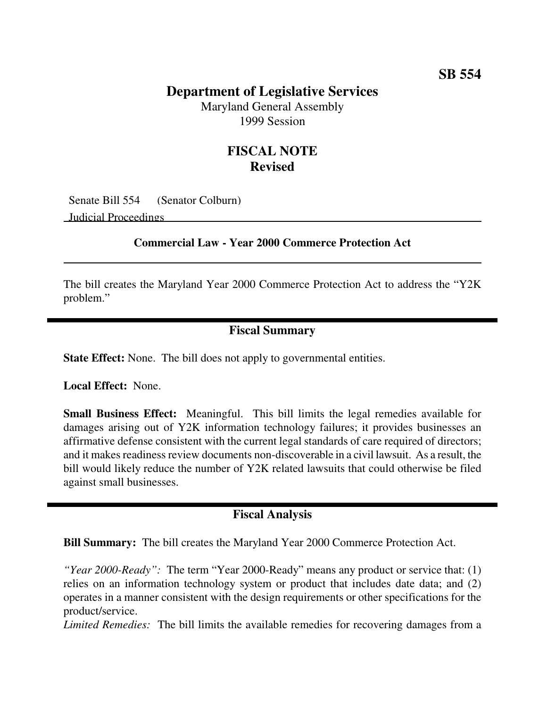## **SB 554**

### **Department of Legislative Services**

Maryland General Assembly 1999 Session

# **FISCAL NOTE Revised**

Senate Bill 554 (Senator Colburn) Judicial Proceedings

#### **Commercial Law - Year 2000 Commerce Protection Act**

The bill creates the Maryland Year 2000 Commerce Protection Act to address the "Y2K problem."

### **Fiscal Summary**

**State Effect:** None. The bill does not apply to governmental entities.

**Local Effect:** None.

**Small Business Effect:** Meaningful. This bill limits the legal remedies available for damages arising out of Y2K information technology failures; it provides businesses an affirmative defense consistent with the current legal standards of care required of directors; and it makes readiness review documents non-discoverable in a civil lawsuit. As a result, the bill would likely reduce the number of Y2K related lawsuits that could otherwise be filed against small businesses.

#### **Fiscal Analysis**

**Bill Summary:** The bill creates the Maryland Year 2000 Commerce Protection Act.

*"Year 2000-Ready":* The term "Year 2000-Ready" means any product or service that: (1) relies on an information technology system or product that includes date data; and (2) operates in a manner consistent with the design requirements or other specifications for the product/service.

*Limited Remedies:* The bill limits the available remedies for recovering damages from a